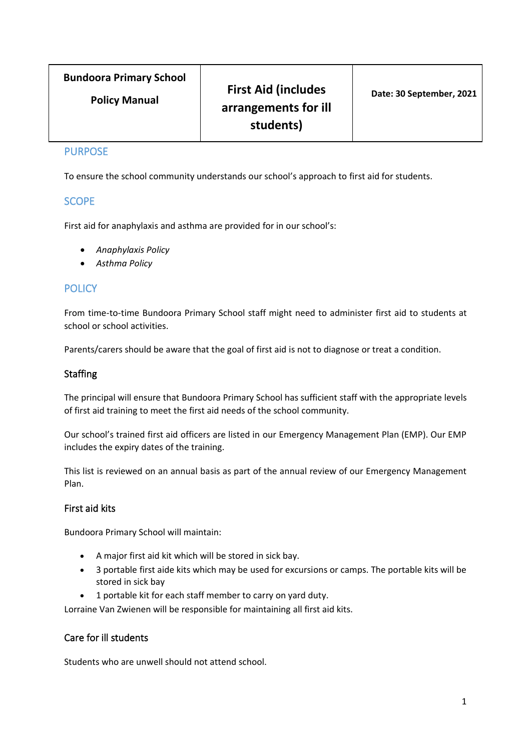# **Bundoora Primary School**

**Policy Manual**

# **First Aid (includes arrangements for ill students)**

#### PURPOSE

To ensure the school community understands our school's approach to first aid for students.

# **SCOPE**

First aid for anaphylaxis and asthma are provided for in our school's:

- *Anaphylaxis Policy*
- *Asthma Policy*

# **POLICY**

From time-to-time Bundoora Primary School staff might need to administer first aid to students at school or school activities.

Parents/carers should be aware that the goal of first aid is not to diagnose or treat a condition.

## **Staffing**

The principal will ensure that Bundoora Primary School has sufficient staff with the appropriate levels of first aid training to meet the first aid needs of the school community.

Our school's trained first aid officers are listed in our Emergency Management Plan (EMP). Our EMP includes the expiry dates of the training.

This list is reviewed on an annual basis as part of the annual review of our Emergency Management Plan.

#### First aid kits

Bundoora Primary School will maintain:

- A major first aid kit which will be stored in sick bay.
- 3 portable first aide kits which may be used for excursions or camps. The portable kits will be stored in sick bay
- 1 portable kit for each staff member to carry on yard duty.

Lorraine Van Zwienen will be responsible for maintaining all first aid kits.

#### Care for ill students

Students who are unwell should not attend school.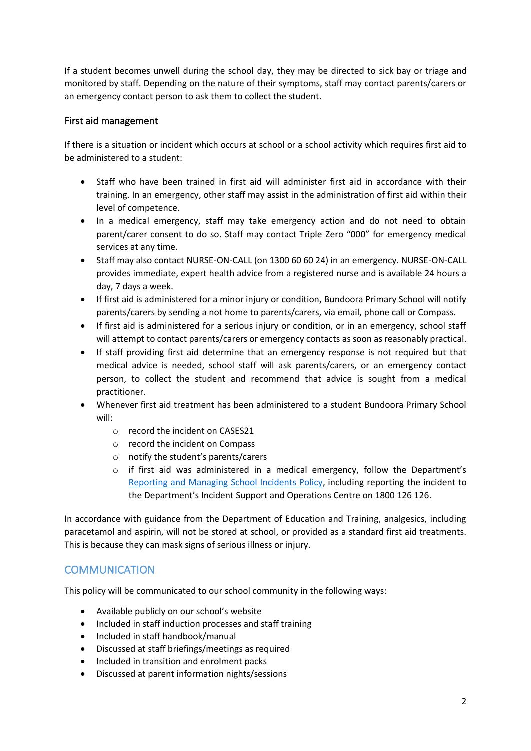If a student becomes unwell during the school day, they may be directed to sick bay or triage and monitored by staff. Depending on the nature of their symptoms, staff may contact parents/carers or an emergency contact person to ask them to collect the student.

## First aid management

If there is a situation or incident which occurs at school or a school activity which requires first aid to be administered to a student:

- Staff who have been trained in first aid will administer first aid in accordance with their training. In an emergency, other staff may assist in the administration of first aid within their level of competence.
- In a medical emergency, staff may take emergency action and do not need to obtain parent/carer consent to do so. Staff may contact Triple Zero "000" for emergency medical services at any time.
- Staff may also contact NURSE-ON-CALL (on 1300 60 60 24) in an emergency. NURSE-ON-CALL provides immediate, expert health advice from a registered nurse and is available 24 hours a day, 7 days a week.
- If first aid is administered for a minor injury or condition, Bundoora Primary School will notify parents/carers by sending a not home to parents/carers, via email, phone call or Compass.
- If first aid is administered for a serious injury or condition, or in an emergency, school staff will attempt to contact parents/carers or emergency contacts as soon as reasonably practical.
- If staff providing first aid determine that an emergency response is not required but that medical advice is needed, school staff will ask parents/carers, or an emergency contact person, to collect the student and recommend that advice is sought from a medical practitioner.
- Whenever first aid treatment has been administered to a student Bundoora Primary School will:
	- o record the incident on CASES21
	- o record the incident on Compass
	- o notify the student's parents/carers
	- o if first aid was administered in a medical emergency, follow the Department's [Reporting and Managing School Incidents Policy,](https://www2.education.vic.gov.au/pal/reporting-and-managing-school-incidents-including-emergencies/policy) including reporting the incident to the Department's Incident Support and Operations Centre on 1800 126 126.

In accordance with guidance from the Department of Education and Training, analgesics, including paracetamol and aspirin, will not be stored at school, or provided as a standard first aid treatments. This is because they can mask signs of serious illness or injury.

# **COMMUNICATION**

This policy will be communicated to our school community in the following ways:

- Available publicly on our school's website
- Included in staff induction processes and staff training
- Included in staff handbook/manual
- Discussed at staff briefings/meetings as required
- Included in transition and enrolment packs
- Discussed at parent information nights/sessions